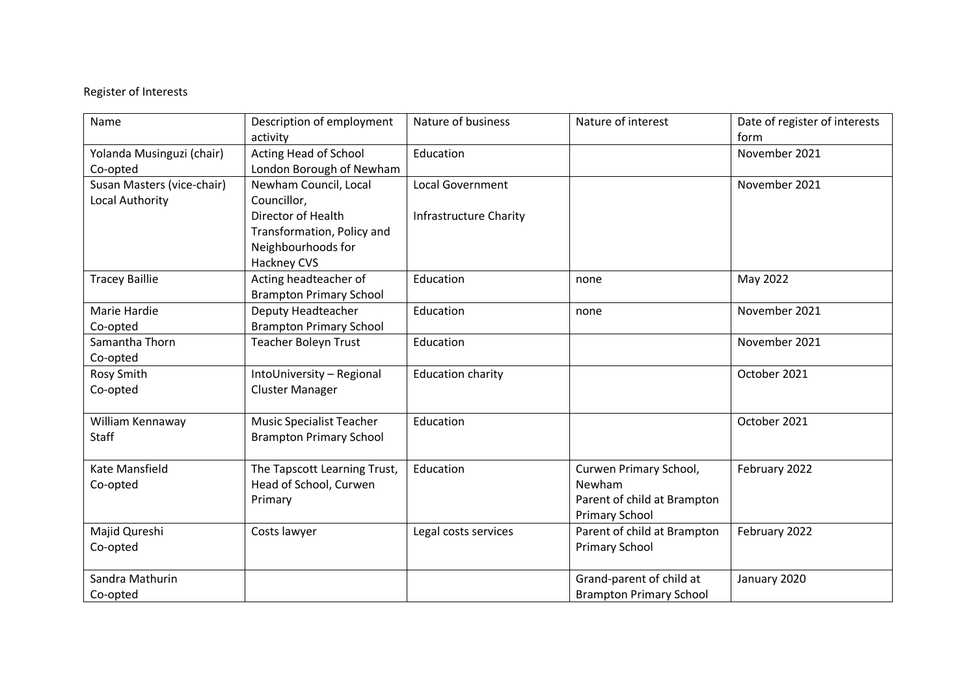## Register of Interests

| Name                       | Description of employment       | Nature of business            | Nature of interest             | Date of register of interests<br>form |
|----------------------------|---------------------------------|-------------------------------|--------------------------------|---------------------------------------|
|                            | activity                        |                               |                                |                                       |
| Yolanda Musinguzi (chair)  | Acting Head of School           | Education                     |                                | November 2021                         |
| Co-opted                   | London Borough of Newham        |                               |                                |                                       |
| Susan Masters (vice-chair) | Newham Council, Local           | <b>Local Government</b>       |                                | November 2021                         |
| Local Authority            | Councillor,                     |                               |                                |                                       |
|                            | Director of Health              | <b>Infrastructure Charity</b> |                                |                                       |
|                            | Transformation, Policy and      |                               |                                |                                       |
|                            | Neighbourhoods for              |                               |                                |                                       |
|                            | Hackney CVS                     |                               |                                |                                       |
| <b>Tracey Baillie</b>      | Acting headteacher of           | Education                     | none                           | May 2022                              |
|                            | <b>Brampton Primary School</b>  |                               |                                |                                       |
| Marie Hardie               | Deputy Headteacher              | Education                     | none                           | November 2021                         |
| Co-opted                   | <b>Brampton Primary School</b>  |                               |                                |                                       |
| Samantha Thorn             | <b>Teacher Boleyn Trust</b>     | Education                     |                                | November 2021                         |
| Co-opted                   |                                 |                               |                                |                                       |
| Rosy Smith                 | IntoUniversity - Regional       | <b>Education charity</b>      |                                | October 2021                          |
| Co-opted                   | <b>Cluster Manager</b>          |                               |                                |                                       |
|                            |                                 |                               |                                |                                       |
| William Kennaway           | <b>Music Specialist Teacher</b> | Education                     |                                | October 2021                          |
| <b>Staff</b>               | <b>Brampton Primary School</b>  |                               |                                |                                       |
|                            |                                 |                               |                                |                                       |
| Kate Mansfield             | The Tapscott Learning Trust,    | Education                     | Curwen Primary School,         | February 2022                         |
| Co-opted                   | Head of School, Curwen          |                               | Newham                         |                                       |
|                            | Primary                         |                               | Parent of child at Brampton    |                                       |
|                            |                                 |                               | <b>Primary School</b>          |                                       |
| Majid Qureshi              | Costs lawyer                    | Legal costs services          | Parent of child at Brampton    | February 2022                         |
| Co-opted                   |                                 |                               | <b>Primary School</b>          |                                       |
|                            |                                 |                               |                                |                                       |
| Sandra Mathurin            |                                 |                               | Grand-parent of child at       | January 2020                          |
| Co-opted                   |                                 |                               | <b>Brampton Primary School</b> |                                       |